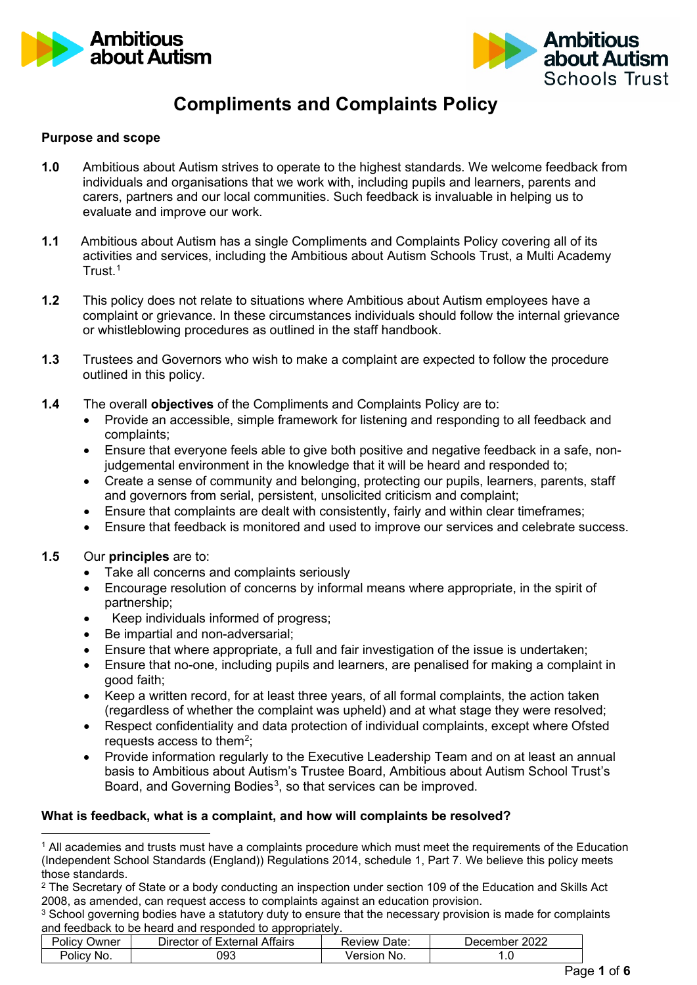



### **Compliments and Complaints Policy**

### **Purpose and scope**

- **1.0** Ambitious about Autism strives to operate to the highest standards. We welcome feedback from individuals and organisations that we work with, including pupils and learners, parents and carers, partners and our local communities. Such feedback is invaluable in helping us to evaluate and improve our work.
- **1.1** Ambitious about Autism has a single Compliments and Complaints Policy covering all of its activities and services, including the Ambitious about Autism Schools Trust, a Multi Academy Trust.[1](#page-0-0)
- **1.2** This policy does not relate to situations where Ambitious about Autism employees have a complaint or grievance. In these circumstances individuals should follow the internal grievance or whistleblowing procedures as outlined in the staff handbook.
- **1.3** Trustees and Governors who wish to make a complaint are expected to follow the procedure outlined in this policy.
- **1.4** The overall **objectives** of the Compliments and Complaints Policy are to:
	- Provide an accessible, simple framework for listening and responding to all feedback and complaints;
	- Ensure that everyone feels able to give both positive and negative feedback in a safe, nonjudgemental environment in the knowledge that it will be heard and responded to;
	- Create a sense of community and belonging, protecting our pupils, learners, parents, staff and governors from serial, persistent, unsolicited criticism and complaint;
	- Ensure that complaints are dealt with consistently, fairly and within clear timeframes;
	- Ensure that feedback is monitored and used to improve our services and celebrate success.

### **1.5** Our **principles** are to:

- Take all concerns and complaints seriously
- Encourage resolution of concerns by informal means where appropriate, in the spirit of partnership;
- Keep individuals informed of progress;
- Be impartial and non-adversarial;
- Ensure that where appropriate, a full and fair investigation of the issue is undertaken;
- Ensure that no-one, including pupils and learners, are penalised for making a complaint in good faith;
- Keep a written record, for at least three years, of all formal complaints, the action taken (regardless of whether the complaint was upheld) and at what stage they were resolved;
- Respect confidentiality and data protection of individual complaints, except where Ofsted requests access to them<sup>[2](#page-0-1)</sup>;
- Provide information regularly to the Executive Leadership Team and on at least an annual basis to Ambitious about Autism's Trustee Board, Ambitious about Autism School Trust's Board, and Governing Bodies<sup>[3](#page-0-2)</sup>, so that services can be improved.

### **What is feedback, what is a complaint, and how will complaints be resolved?**

<span id="page-0-2"></span><sup>&</sup>lt;sup>3</sup> School governing bodies have a statutory duty to ensure that the necessary provision is made for complaints and feedback to be heard and responded to appropriately.

| 'olic∨√<br>Owner | <b>External Affairs</b><br>Director of F | Date<br>Review | 2022<br>December  |
|------------------|------------------------------------------|----------------|-------------------|
| Policy<br>No.    | 093                                      | Version<br>No. | $\cdot\cdot\cdot$ |

<span id="page-0-0"></span><sup>1</sup> All academies and trusts must have a complaints procedure which must meet the requirements of the Education (Independent School Standards (England)) Regulations 2014, schedule 1, Part 7. We believe this policy meets those standards.

<span id="page-0-1"></span><sup>&</sup>lt;sup>2</sup> The Secretary of State or a body conducting an inspection under section 109 of the Education and Skills Act 2008, as amended, can request access to complaints against an education provision.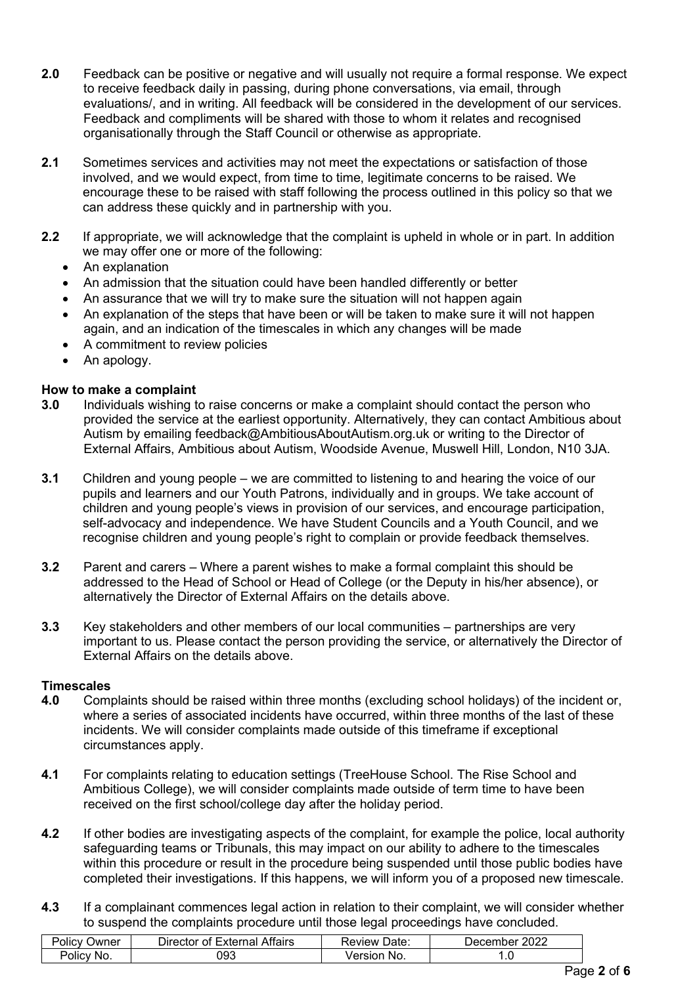- **2.0** Feedback can be positive or negative and will usually not require a formal response. We expect to receive feedback daily in passing, during phone conversations, via email, through evaluations/, and in writing. All feedback will be considered in the development of our services. Feedback and compliments will be shared with those to whom it relates and recognised organisationally through the Staff Council or otherwise as appropriate.
- **2.1** Sometimes services and activities may not meet the expectations or satisfaction of those involved, and we would expect, from time to time, legitimate concerns to be raised. We encourage these to be raised with staff following the process outlined in this policy so that we can address these quickly and in partnership with you.
- **2.2** If appropriate, we will acknowledge that the complaint is upheld in whole or in part. In addition we may offer one or more of the following:
	- An explanation
	- An admission that the situation could have been handled differently or better
	- An assurance that we will try to make sure the situation will not happen again
	- An explanation of the steps that have been or will be taken to make sure it will not happen again, and an indication of the timescales in which any changes will be made
	- A commitment to review policies
	- An apology.

### **How to make a complaint**

- **3.0** Individuals wishing to raise concerns or make a complaint should contact the person who provided the service at the earliest opportunity. Alternatively, they can contact Ambitious about Autism by emailing feedback@AmbitiousAboutAutism.org.uk or writing to the Director of External Affairs, Ambitious about Autism, Woodside Avenue, Muswell Hill, London, N10 3JA.
- **3.1** Children and young people we are committed to listening to and hearing the voice of our pupils and learners and our Youth Patrons, individually and in groups. We take account of children and young people's views in provision of our services, and encourage participation, self-advocacy and independence. We have Student Councils and a Youth Council, and we recognise children and young people's right to complain or provide feedback themselves.
- **3.2** Parent and carers Where a parent wishes to make a formal complaint this should be addressed to the Head of School or Head of College (or the Deputy in his/her absence), or alternatively the Director of External Affairs on the details above.
- **3.3** Key stakeholders and other members of our local communities partnerships are very important to us. Please contact the person providing the service, or alternatively the Director of External Affairs on the details above.

### **Timescales**

- **4.0** Complaints should be raised within three months (excluding school holidays) of the incident or, where a series of associated incidents have occurred, within three months of the last of these incidents. We will consider complaints made outside of this timeframe if exceptional circumstances apply.
- **4.1** For complaints relating to education settings (TreeHouse School. The Rise School and Ambitious College), we will consider complaints made outside of term time to have been received on the first school/college day after the holiday period.
- **4.2** If other bodies are investigating aspects of the complaint, for example the police, local authority safeguarding teams or Tribunals, this may impact on our ability to adhere to the timescales within this procedure or result in the procedure being suspended until those public bodies have completed their investigations. If this happens, we will inform you of a proposed new timescale.
- **4.3** If a complainant commences legal action in relation to their complaint, we will consider whether to suspend the complaints procedure until those legal proceedings have concluded.

| -<br>שwner<br>olicv | --<br>Attairs<br>– xterna∟<br>Director∟<br>ΩŤ | <br>Date<br>⊀eview | ∩∩∩<br>⊃ecember<br>102 <sub>4</sub> |
|---------------------|-----------------------------------------------|--------------------|-------------------------------------|
| 'olic\<br>NO.       | 093                                           | 'ersion<br>-No.    | $\cdot\cdot$                        |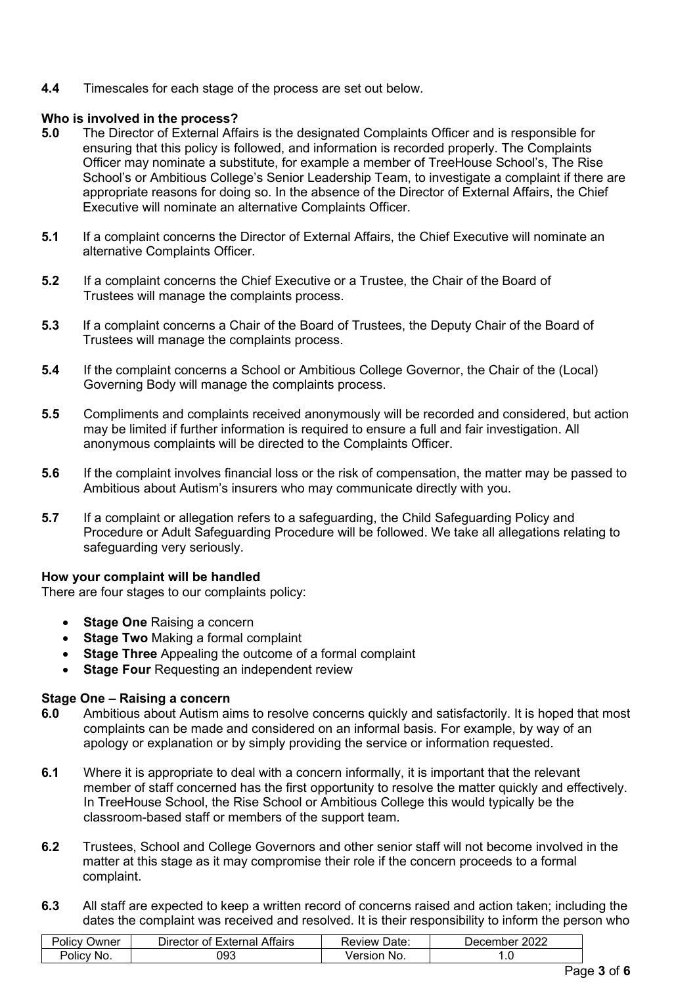**4.4** Timescales for each stage of the process are set out below.

## **Who is involved in the process?**<br>**5.0** The Director of External Affa

- **5.0** The Director of External Affairs is the designated Complaints Officer and is responsible for ensuring that this policy is followed, and information is recorded properly. The Complaints Officer may nominate a substitute, for example a member of TreeHouse School's, The Rise School's or Ambitious College's Senior Leadership Team, to investigate a complaint if there are appropriate reasons for doing so. In the absence of the Director of External Affairs, the Chief Executive will nominate an alternative Complaints Officer.
- **5.1** If a complaint concerns the Director of External Affairs, the Chief Executive will nominate an alternative Complaints Officer.
- **5.2** If a complaint concerns the Chief Executive or a Trustee, the Chair of the Board of Trustees will manage the complaints process.
- **5.3** If a complaint concerns a Chair of the Board of Trustees, the Deputy Chair of the Board of Trustees will manage the complaints process.
- **5.4** If the complaint concerns a School or Ambitious College Governor, the Chair of the (Local) Governing Body will manage the complaints process.
- **5.5** Compliments and complaints received anonymously will be recorded and considered, but action may be limited if further information is required to ensure a full and fair investigation. All anonymous complaints will be directed to the Complaints Officer.
- **5.6** If the complaint involves financial loss or the risk of compensation, the matter may be passed to Ambitious about Autism's insurers who may communicate directly with you.
- **5.7** If a complaint or allegation refers to a safeguarding, the Child Safeguarding Policy and Procedure or Adult Safeguarding Procedure will be followed. We take all allegations relating to safeguarding very seriously.

### **How your complaint will be handled**

There are four stages to our complaints policy:

- **Stage One Raising a concern**
- **Stage Two** Making a formal complaint
- **Stage Three** Appealing the outcome of a formal complaint
- **Stage Four Requesting an independent review**

### **Stage One – Raising a concern**

- **6.0** Ambitious about Autism aims to resolve concerns quickly and satisfactorily. It is hoped that most complaints can be made and considered on an informal basis. For example, by way of an apology or explanation or by simply providing the service or information requested.
- **6.1** Where it is appropriate to deal with a concern informally, it is important that the relevant member of staff concerned has the first opportunity to resolve the matter quickly and effectively. In TreeHouse School, the Rise School or Ambitious College this would typically be the classroom-based staff or members of the support team.
- **6.2** Trustees, School and College Governors and other senior staff will not become involved in the matter at this stage as it may compromise their role if the concern proceeds to a formal complaint.
- **6.3** All staff are expected to keep a written record of concerns raised and action taken; including the dates the complaint was received and resolved. It is their responsibility to inform the person who

| -<br>)wner<br>Olic' | --<br>Attairs<br>vtarnoj<br>⊃ırector<br>xternai<br>ΩL | Date:<br>$\sim$ $\sim$ $\sim$ $\sim$ $\sim$ $\sim$ | ∩∩∩<br>. )ecember<br><b>AUZL</b> |
|---------------------|-------------------------------------------------------|----------------------------------------------------|----------------------------------|
| <b>NC</b><br>olic'  | 093                                                   | Jersior<br>No.                                     | $\cdot$                          |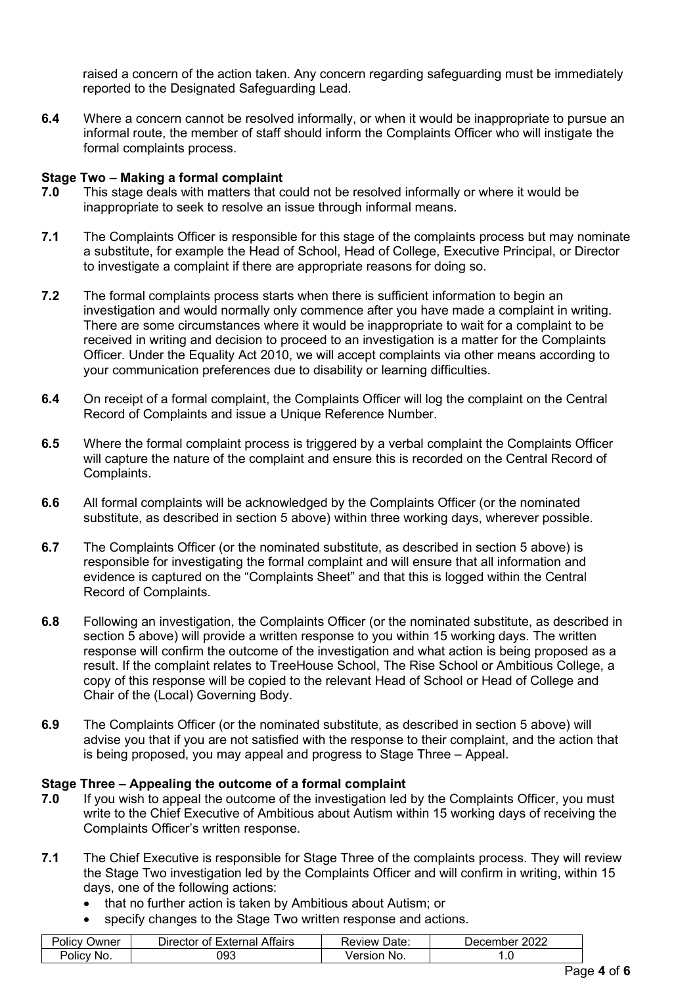raised a concern of the action taken. Any concern regarding safeguarding must be immediately reported to the Designated Safeguarding Lead.

**6.4** Where a concern cannot be resolved informally, or when it would be inappropriate to pursue an informal route, the member of staff should inform the Complaints Officer who will instigate the formal complaints process.

# **Stage Two – Making a formal complaint**

- **7.0** This stage deals with matters that could not be resolved informally or where it would be inappropriate to seek to resolve an issue through informal means.
- **7.1** The Complaints Officer is responsible for this stage of the complaints process but may nominate a substitute, for example the Head of School, Head of College, Executive Principal, or Director to investigate a complaint if there are appropriate reasons for doing so.
- **7.2** The formal complaints process starts when there is sufficient information to begin an investigation and would normally only commence after you have made a complaint in writing. There are some circumstances where it would be inappropriate to wait for a complaint to be received in writing and decision to proceed to an investigation is a matter for the Complaints Officer. Under the Equality Act 2010, we will accept complaints via other means according to your communication preferences due to disability or learning difficulties.
- **6.4** On receipt of a formal complaint, the Complaints Officer will log the complaint on the Central Record of Complaints and issue a Unique Reference Number.
- **6.5** Where the formal complaint process is triggered by a verbal complaint the Complaints Officer will capture the nature of the complaint and ensure this is recorded on the Central Record of Complaints.
- **6.6** All formal complaints will be acknowledged by the Complaints Officer (or the nominated substitute, as described in section 5 above) within three working days, wherever possible.
- **6.7** The Complaints Officer (or the nominated substitute, as described in section 5 above) is responsible for investigating the formal complaint and will ensure that all information and evidence is captured on the "Complaints Sheet" and that this is logged within the Central Record of Complaints.
- **6.8** Following an investigation, the Complaints Officer (or the nominated substitute, as described in section 5 above) will provide a written response to you within 15 working days. The written response will confirm the outcome of the investigation and what action is being proposed as a result. If the complaint relates to TreeHouse School, The Rise School or Ambitious College, a copy of this response will be copied to the relevant Head of School or Head of College and Chair of the (Local) Governing Body.
- **6.9** The Complaints Officer (or the nominated substitute, as described in section 5 above) will advise you that if you are not satisfied with the response to their complaint, and the action that is being proposed, you may appeal and progress to Stage Three – Appeal.

### **Stage Three – Appealing the outcome of a formal complaint**

- **7.0** If you wish to appeal the outcome of the investigation led by the Complaints Officer, you must write to the Chief Executive of Ambitious about Autism within 15 working days of receiving the Complaints Officer's written response.
- **7.1** The Chief Executive is responsible for Stage Three of the complaints process. They will review the Stage Two investigation led by the Complaints Officer and will confirm in writing, within 15 days, one of the following actions:
	- that no further action is taken by Ambitious about Autism; or
	- specify changes to the Stage Two written response and actions.

| -<br>שwner<br>Policv | --<br>Attairs<br>External<br><b>Director</b><br>ΩĪ | Date:<br>∴eview ! ∵   | ∩∩∩<br>December∟<br>" ZUZZ |
|----------------------|----------------------------------------------------|-----------------------|----------------------------|
| 'olic∖<br>No.        | 093                                                | /ersion<br>No.<br>``` |                            |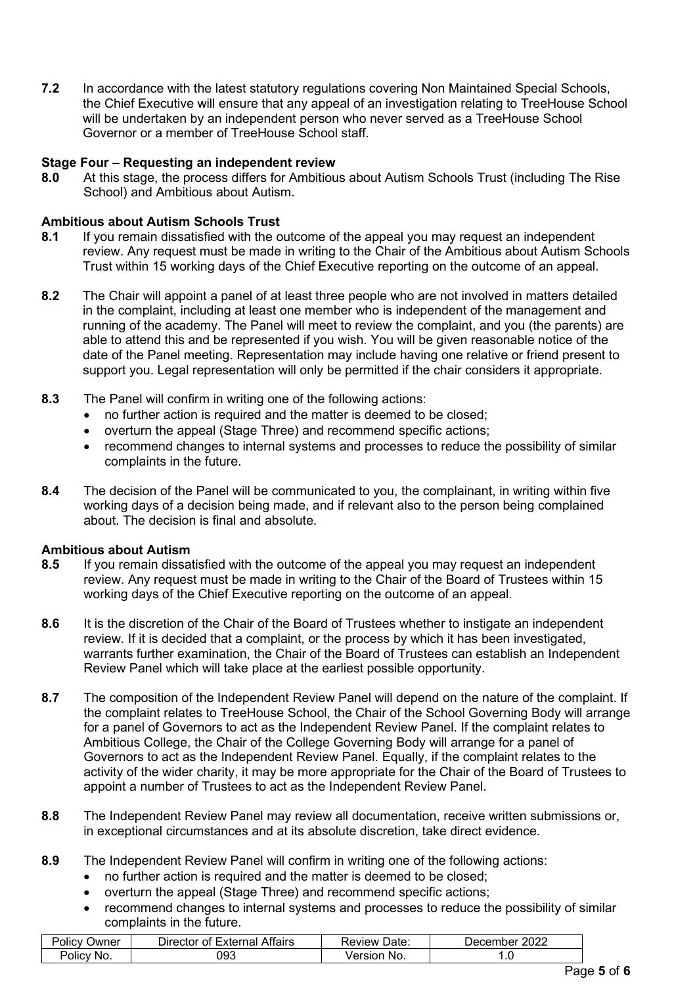**7.2** In accordance with the latest statutory regulations covering Non Maintained Special Schools, the Chief Executive will ensure that any appeal of an investigation relating to TreeHouse School will be undertaken by an independent person who never served as a TreeHouse School Governor or a member of TreeHouse School staff.

### **Stage Four – Requesting an independent review**

**8.0** At this stage, the process differs for Ambitious about Autism Schools Trust (including The Rise School) and Ambitious about Autism.

# **Ambitious about Autism Schools Trust**<br>**8.1** If you remain dissatisfied with the o

- **8.1** If you remain dissatisfied with the outcome of the appeal you may request an independent review. Any request must be made in writing to the Chair of the Ambitious about Autism Schools Trust within 15 working days of the Chief Executive reporting on the outcome of an appeal.
- **8.2** The Chair will appoint a panel of at least three people who are not involved in matters detailed in the complaint, including at least one member who is independent of the management and running of the academy. The Panel will meet to review the complaint, and you (the parents) are able to attend this and be represented if you wish. You will be given reasonable notice of the date of the Panel meeting. Representation may include having one relative or friend present to support you. Legal representation will only be permitted if the chair considers it appropriate.
- **8.3** The Panel will confirm in writing one of the following actions:
	- no further action is required and the matter is deemed to be closed;
	- overturn the appeal (Stage Three) and recommend specific actions:
	- recommend changes to internal systems and processes to reduce the possibility of similar complaints in the future.
- **8.4** The decision of the Panel will be communicated to you, the complainant, in writing within five working days of a decision being made, and if relevant also to the person being complained about. The decision is final and absolute.

### **Ambitious about Autism**

- **8.5** If you remain dissatisfied with the outcome of the appeal you may request an independent review. Any request must be made in writing to the Chair of the Board of Trustees within 15 working days of the Chief Executive reporting on the outcome of an appeal.
- **8.6** It is the discretion of the Chair of the Board of Trustees whether to instigate an independent review. If it is decided that a complaint, or the process by which it has been investigated, warrants further examination, the Chair of the Board of Trustees can establish an Independent Review Panel which will take place at the earliest possible opportunity.
- **8.7** The composition of the Independent Review Panel will depend on the nature of the complaint. If the complaint relates to TreeHouse School, the Chair of the School Governing Body will arrange for a panel of Governors to act as the Independent Review Panel. If the complaint relates to Ambitious College, the Chair of the College Governing Body will arrange for a panel of Governors to act as the Independent Review Panel. Equally, if the complaint relates to the activity of the wider charity, it may be more appropriate for the Chair of the Board of Trustees to appoint a number of Trustees to act as the Independent Review Panel.
- **8.8** The Independent Review Panel may review all documentation, receive written submissions or, in exceptional circumstances and at its absolute discretion, take direct evidence.
- **8.9** The Independent Review Panel will confirm in writing one of the following actions:
	- no further action is required and the matter is deemed to be closed:
	- overturn the appeal (Stage Three) and recommend specific actions;
	- recommend changes to internal systems and processes to reduce the possibility of similar complaints in the future.

| שwner<br>Policy     | --<br>`≏rna∟⊷<br>Attairs<br>Director of<br>.<br>. Ter | Jate<br>Review | 2022<br>⊃ecember |
|---------------------|-------------------------------------------------------|----------------|------------------|
| 'olic\<br><b>NO</b> | 093                                                   | /ersion<br>No. |                  |